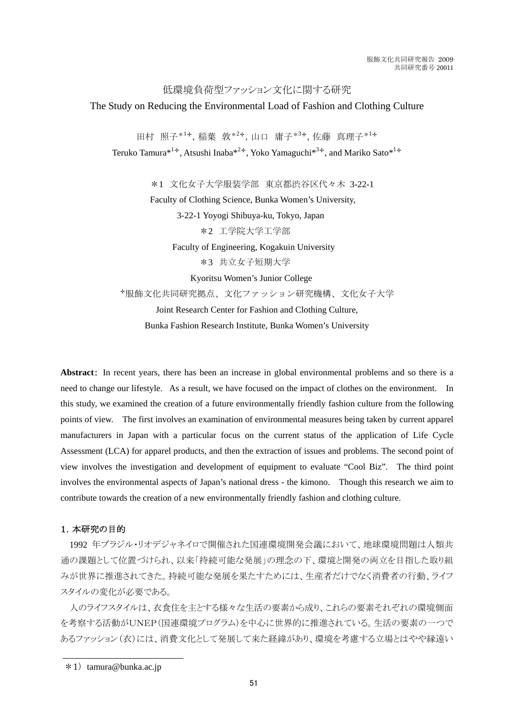低環境負荷型ファッション文化に関する研究

## The Study on Reducing the Environmental Load of Fashion and Clothing Culture

田村 照子\*<sup>1</sup>✢,稲葉 敦\*<sup>2</sup>✢,山口 庸子\*<sup>3</sup>✢,佐藤 真理子\*<sup>1</sup>✢ Teruko Tamura<sup>\*1÷</sup>, Atsushi Inaba<sup>\*2÷</sup>, Yoko Yamaguchi<sup>\*3÷</sup>, and Mariko Sato<sup>\*1÷</sup>

\*1 文化女子大学服装学部 東京都渋谷区代々木 3-22-1 Faculty of Clothing Science, Bunka Women's University, 3-22-1 Yoyogi Shibuya-ku, Tokyo, Japan \*2 工学院大学工学部 Faculty of Engineering, Kogakuin University \*3 共立女子短期大学 Kyoritsu Women's Junior College ✢服飾文化共同研究拠点、文化ファッション研究機構、文化女子大学 Joint Research Center for Fashion and Clothing Culture,

Bunka Fashion Research Institute, Bunka Women's University

**Abstract**: In recent years, there has been an increase in global environmental problems and so there is a need to change our lifestyle. As a result, we have focused on the impact of clothes on the environment. In this study, we examined the creation of a future environmentally friendly fashion culture from the following points of view. The first involves an examination of environmental measures being taken by current apparel manufacturers in Japan with a particular focus on the current status of the application of Life Cycle Assessment (LCA) for apparel products, and then the extraction of issues and problems. The second point of view involves the investigation and development of equipment to evaluate "Cool Biz". The third point involves the environmental aspects of Japan's national dress - the kimono. Though this research we aim to contribute towards the creation of a new environmentally friendly fashion and clothing culture.

# 1.本研究の目的

1992 年ブラジル・リオデジャネイロで開催された国連環境開発会議において、地球環境問題は人類共 通の課題として位置づけられ、以来「持続可能な発展」の理念の下、環境と開発の両立を目指した取り組 みが世界に推進されてきた。持続可能な発展を果たすためには、生産者だけでなく消費者の行動、ライフ スタイルの変化が必要である。

人のライフスタイルは、衣食住を主とする様々な生活の要素から成り、これらの要素それぞれの環境側面 を考察する活動がUNEP(国連環境プログラム)を中心に世界的に推進されている。生活の要素の一つで あるファッション(衣)には、消費文化として発展して来た経緯があり、環境を考慮する立場とはやや縁遠い

 $*1$ ) tamura@bunka.ac.jp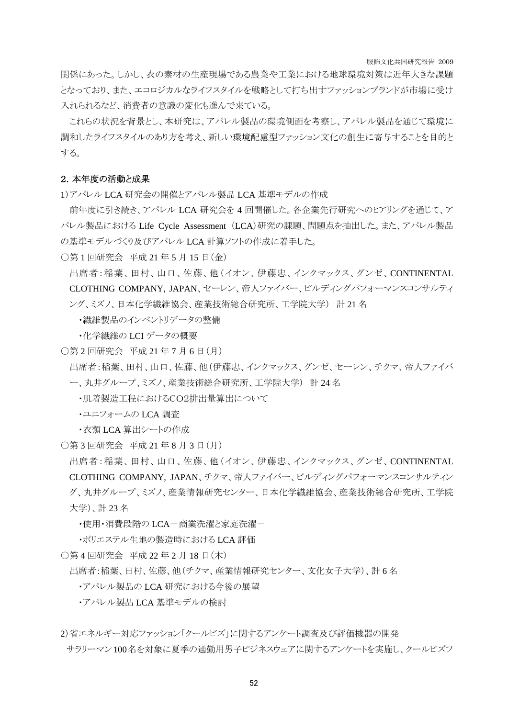服飾文化共同研究報告 2009

関係にあった。しかし、衣の素材の生産現場である農業や工業における地球環境対策は近年大きな課題 となっており、また、エコロジカルなライフスタイルを戦略として打ち出すファッションブランドが市場に受け 入れられるなど、消費者の意識の変化も進んで来ている。

これらの状況を背景とし、本研究は、アパレル製品の環境側面を考察し、アパレル製品を通じて環境に 調和したライフスタイルのあり方を考え、新しい環境配慮型ファッション文化の創生に寄与することを目的と する。

## 2.本年度の活動と成果

1)アパレル LCA 研究会の開催とアパレル製品 LCA 基準モデルの作成

前年度に引き続き、アパレル LCA 研究会を 4 回開催した。各企業先行研究へのヒアリングを通じて、ア パレル製品における Life Cycle Assessment (LCA)研究の課題、問題点を抽出した。また、アパレル製品 の基準モデルづくり及びアパレル LCA 計算ソフトの作成に着手した。

○第 1 回研究会 平成 21 年 5 月 15 日(金)

出席者:稲葉、田村、山口、佐藤、他(イオン、伊藤忠、インクマックス、グンゼ、CONTINENTAL CLOTHING COMPANY, JAPAN、セーレン、帝人ファイバー、ビルディングパフォーマンスコンサルティ ング、ミズノ、日本化学繊維協会、産業技術総合研究所、工学院大学) 計 21 名

・繊維製品のインベントリデータの整備

・化学繊維の LCI データの概要

○第 2 回研究会 平成 21 年 7 月 6 日(月)

出席者:稲葉、田村、山口、佐藤、他(伊藤忠、インクマックス、グンゼ、セーレン、チクマ、帝人ファイバ ー、丸井グループ、ミズノ、産業技術総合研究所、工学院大学) 計 24 名

・肌着製造工程におけるCO2排出量算出について

・ユニフォームの LCA 調査

・衣類 LCA 算出シートの作成

○第 3 回研究会 平成 21 年 8 月 3 日(月)

出席者:稲葉、田村、山口、佐藤、他(イオン、伊藤忠、インクマックス、グンゼ、CONTINENTAL CLOTHING COMPANY, JAPAN、チクマ、帝人ファイバー、ビルディングパフォーマンスコンサルティン グ、丸井グループ、ミズノ、産業情報研究センター、日本化学繊維協会、産業技術総合研究所、工学院 大学)、計 23 名

・使用・消費段階の LCA-商業洗濯と家庭洗濯-

・ポリエステル生地の製造時における LCA 評価

○第 4 回研究会 平成 22 年 2 月 18 日(木)

出席者:稲葉、田村、佐藤、他(チクマ、産業情報研究センター、文化女子大学)、計 6 名

・アパレル製品の LCA 研究における今後の展望

・アパレル製品 LCA 基準モデルの検討

2)省エネルギー対応ファッション「クールビズ」に関するアンケート調査及び評価機器の開発

サラリーマン100名を対象に夏季の通勤用男子ビジネスウェアに関するアンケートを実施し、クールビズフ